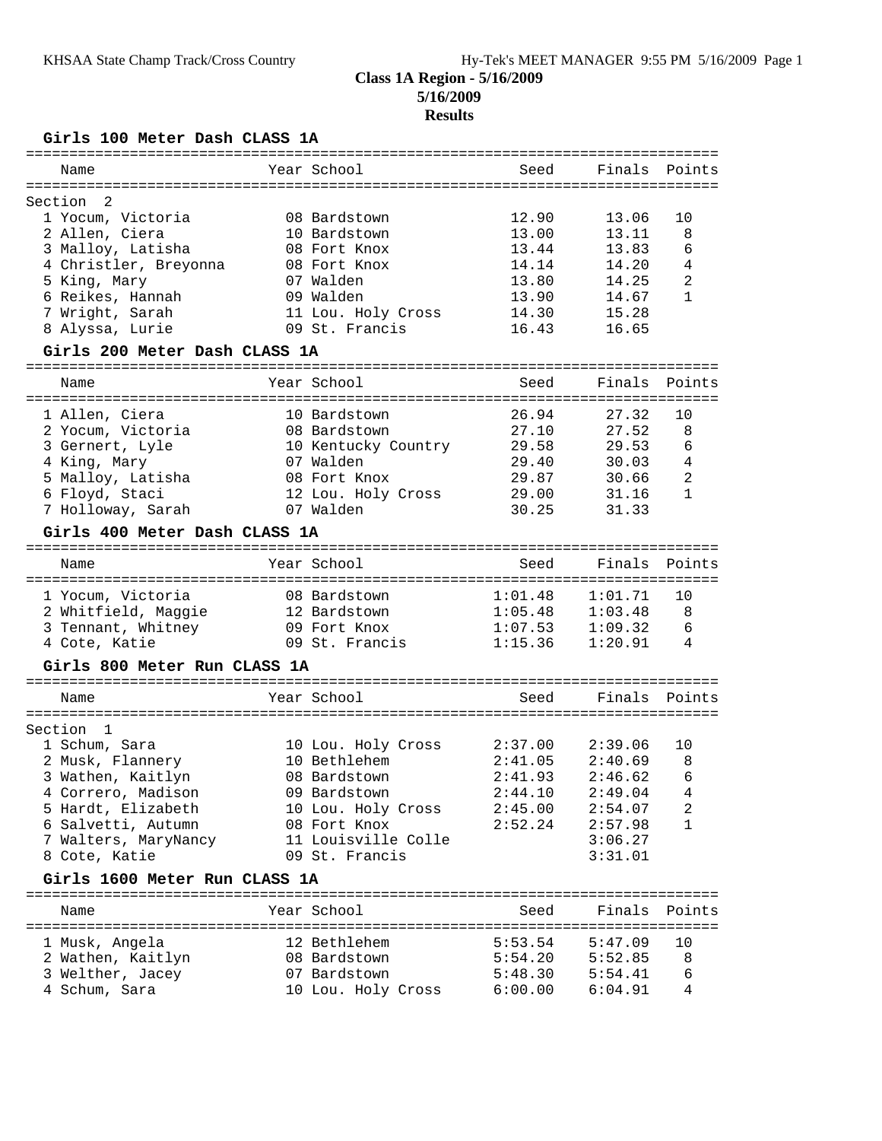## **Class 1A Region - 5/16/2009 5/16/2009**

## **Results**

**Girls 100 Meter Dash CLASS 1A**

| Name                                  | Year School                           | Seed               | Finals             | Points            |
|---------------------------------------|---------------------------------------|--------------------|--------------------|-------------------|
| $\overline{2}$                        |                                       |                    |                    |                   |
| Section<br>1 Yocum, Victoria          | 08 Bardstown                          | 12.90              | 13.06              | 10                |
| 2 Allen, Ciera                        | 10 Bardstown                          | 13.00              | 13.11              | 8                 |
| 3 Malloy, Latisha                     | 08 Fort Knox                          | 13.44              | 13.83              | 6                 |
| 4 Christler, Breyonna                 | 08 Fort Knox                          | 14.14              | 14.20              | $\overline{4}$    |
| 5 King, Mary                          | 07 Walden                             | 13.80              | 14.25              | $\overline{2}$    |
| 6 Reikes, Hannah                      | 09 Walden                             | 13.90              | 14.67              | $\mathbf{1}$      |
| 7 Wright, Sarah                       | 11 Lou. Holy Cross                    | 14.30              | 15.28              |                   |
| 8 Alyssa, Lurie                       | 09 St. Francis                        | 16.43              | 16.65              |                   |
| Girls 200 Meter Dash CLASS 1A         |                                       |                    |                    |                   |
| Name                                  | Year School                           | Seed               | Finals             | Points            |
|                                       |                                       |                    |                    |                   |
| 1 Allen, Ciera                        | 10 Bardstown<br>08 Bardstown          | 26.94              | 27.32              | 10                |
| 2 Yocum, Victoria                     |                                       | 27.10<br>29.58     | 27.52<br>29.53     | 8<br>6            |
| 3 Gernert, Lyle<br>4 King, Mary       | 10 Kentucky Country<br>07 Walden      | 29.40              | 30.03              | 4                 |
| 5 Malloy, Latisha                     | 08 Fort Knox                          | 29.87              | 30.66              | 2                 |
| 6 Floyd, Staci                        | 12 Lou. Holy Cross                    | 29.00              | 31.16              | $\mathbf{1}$      |
| 7 Holloway, Sarah                     | 07 Walden                             | 30.25              | 31.33              |                   |
|                                       |                                       |                    |                    |                   |
| Girls 400 Meter Dash CLASS 1A         |                                       |                    |                    |                   |
| Name                                  | Year School                           | Seed               | Finals             | Points            |
|                                       |                                       |                    |                    |                   |
| 1 Yocum, Victoria                     | 08 Bardstown                          | 1:01.48            | 1:01.71            | 10                |
| 2 Whitfield, Maggie                   | 12 Bardstown                          | 1:05.48            | 1:03.48            | 8                 |
| 3 Tennant, Whitney                    | 09 Fort Knox                          | 1:07.53            | 1:09.32            | 6                 |
| 4 Cote, Katie                         | 09 St. Francis                        | 1:15.36            | 1:20.91            | 4                 |
| Girls 800 Meter Run CLASS 1A          |                                       |                    |                    |                   |
| Name                                  | Year School                           | Seed               | Finals             | Points            |
|                                       |                                       |                    |                    |                   |
| Section<br>$\overline{1}$             |                                       |                    |                    |                   |
| 1 Schum, Sara                         | 10 Lou. Holy Cross                    | 2:37.00            | 2:39.06            | 10                |
| 2 Musk, Flannery                      | 10 Bethlehem                          | 2:41.05            | 2:40.69            | 8                 |
| 3 Wathen, Kaitlyn                     | 08 Bardstown                          | 2:41.93            | 2:46.62            | 6                 |
| 4 Correro, Madison                    | 09 Bardstown                          | 2:44.10            | 2:49.04            | $\overline{4}$    |
| 5 Hardt, Elizabeth                    | 10 Lou. Holy Cross<br>08 Fort Knox    | 2:45.00<br>2:52.24 | 2:54.07            | 2<br>$\mathbf{1}$ |
| 6 Salvetti, Autumn                    |                                       |                    | 2:57.98<br>3:06.27 |                   |
| 7 Walters, MaryNancy<br>8 Cote, Katie | 11 Louisville Colle<br>09 St. Francis |                    |                    |                   |
|                                       |                                       |                    | 3:31.01            |                   |
| Girls 1600 Meter Run CLASS 1A         |                                       |                    |                    |                   |
| Name                                  | Year School                           | Seed               | Finals             | Points            |
| 1 Musk, Angela                        | 12 Bethlehem                          | 5:53.54            | 5:47.09            | 10                |
| 2 Wathen, Kaitlyn                     | 08 Bardstown                          | 5:54.20            | 5:52.85            | 8                 |
| 3 Welther, Jacey                      | 07 Bardstown                          | 5:48.30            | 5:54.41            | 6                 |
| 4 Schum, Sara                         | 10 Lou. Holy Cross                    | 6:00.00            | 6:04.91            | 4                 |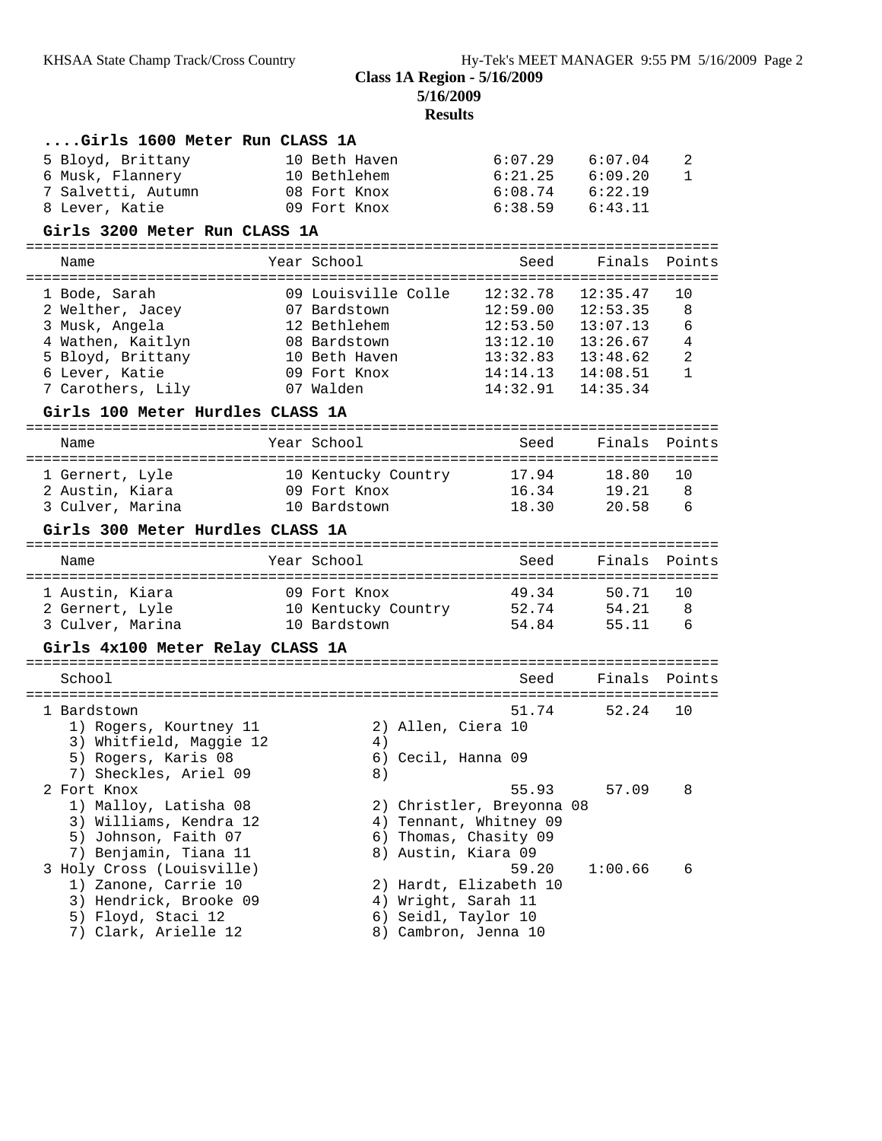**5/16/2009**

# **Results**

| Girls 1600 Meter Run CLASS 1A              |                           |                                             |               |                |
|--------------------------------------------|---------------------------|---------------------------------------------|---------------|----------------|
| 5 Bloyd, Brittany                          | 10 Beth Haven             | 6:07.29                                     | 6:07.04       | 2              |
| 6 Musk, Flannery                           | 10 Bethlehem              | 6:21.25                                     | 6:09.20       | 1              |
| 7 Salvetti, Autumn                         | 08 Fort Knox              | 6:08.74                                     | 6:22.19       |                |
| 8 Lever, Katie                             | 09 Fort Knox              | 6:38.59                                     | 6:43.11       |                |
| Girls 3200 Meter Run CLASS 1A              |                           |                                             |               |                |
|                                            |                           |                                             |               |                |
| Name                                       | Year School               | Seed                                        | Finals        | Points         |
| 1 Bode, Sarah                              | 09 Louisville Colle       | 12:32.78                                    | 12:35.47      | 10             |
| 2 Welther, Jacey                           | 07 Bardstown              | 12:59.00                                    | 12:53.35      | 8              |
| 3 Musk, Angela                             | 12 Bethlehem              | 12:53.50                                    | 13:07.13      | 6              |
| 4 Wathen, Kaitlyn                          | 08 Bardstown              | 13:12.10                                    | 13:26.67      | $\overline{4}$ |
| 5 Bloyd, Brittany                          | 10 Beth Haven             | 13:32.83                                    | 13:48.62      | 2              |
| 6 Lever, Katie                             | 09 Fort Knox              | 14:14.13                                    | 14:08.51      | $\mathbf{1}$   |
| 7 Carothers, Lily                          | 07 Walden                 | 14:32.91                                    | 14:35.34      |                |
| Girls 100 Meter Hurdles CLASS 1A           |                           |                                             |               |                |
|                                            |                           |                                             |               |                |
| Name                                       | Year School               | Seed                                        | Finals        | Points         |
| 1 Gernert, Lyle                            | 10 Kentucky Country       | 17.94                                       | 18.80         | 10             |
| 2 Austin, Kiara                            | 09 Fort Knox              | 16.34                                       | 19.21         | 8              |
| 3 Culver, Marina                           | 10 Bardstown              | 18.30                                       | 20.58         | 6              |
| Girls 300 Meter Hurdles CLASS 1A           |                           |                                             |               |                |
| Name                                       | Year School               | Seed                                        | Finals Points |                |
|                                            |                           |                                             |               |                |
| 1 Austin, Kiara                            | 09 Fort Knox              | 49.34                                       | 50.71         | 10             |
| 2 Gernert, Lyle                            | 10 Kentucky Country 52.74 |                                             | 54.21         | 8              |
| 3 Culver, Marina                           | 10 Bardstown              | 54.84                                       | 55.11         | 6              |
| Girls 4x100 Meter Relay CLASS 1A           |                           |                                             |               |                |
| School                                     |                           | Seed                                        | Finals        | Points         |
|                                            |                           |                                             |               |                |
| 1 Bardstown                                |                           | 51.74                                       | 52.24         | 10             |
| 1) Rogers, Kourtney 11                     | 2) Allen, Ciera 10        |                                             |               |                |
| 3) Whitfield, Maggie 12                    | 4)                        |                                             |               |                |
| 5) Rogers, Karis 08                        | 6) Cecil, Hanna 09        |                                             |               |                |
| 7) Sheckles, Ariel 09                      | 8)                        |                                             |               |                |
| 2 Fort Knox                                |                           | 55.93                                       | 57.09         | 8              |
| 1) Malloy, Latisha 08                      |                           | 2) Christler, Breyonna 08                   |               |                |
| 3) Williams, Kendra 12                     |                           | 4) Tennant, Whitney 09                      |               |                |
| 5) Johnson, Faith 07                       |                           |                                             |               |                |
| 7) Benjamin, Tiana 11                      | 6) Thomas, Chasity 09     |                                             |               |                |
|                                            | 8) Austin, Kiara 09       |                                             |               |                |
| 3 Holy Cross (Louisville)                  |                           | 59.20                                       | 1:00.66       | 6              |
| 1) Zanone, Carrie 10                       |                           | 2) Hardt, Elizabeth 10                      |               |                |
| 3) Hendrick, Brooke 09                     |                           | 4) Wright, Sarah 11                         |               |                |
| 5) Floyd, Staci 12<br>7) Clark, Arielle 12 |                           | 6) Seidl, Taylor 10<br>8) Cambron, Jenna 10 |               |                |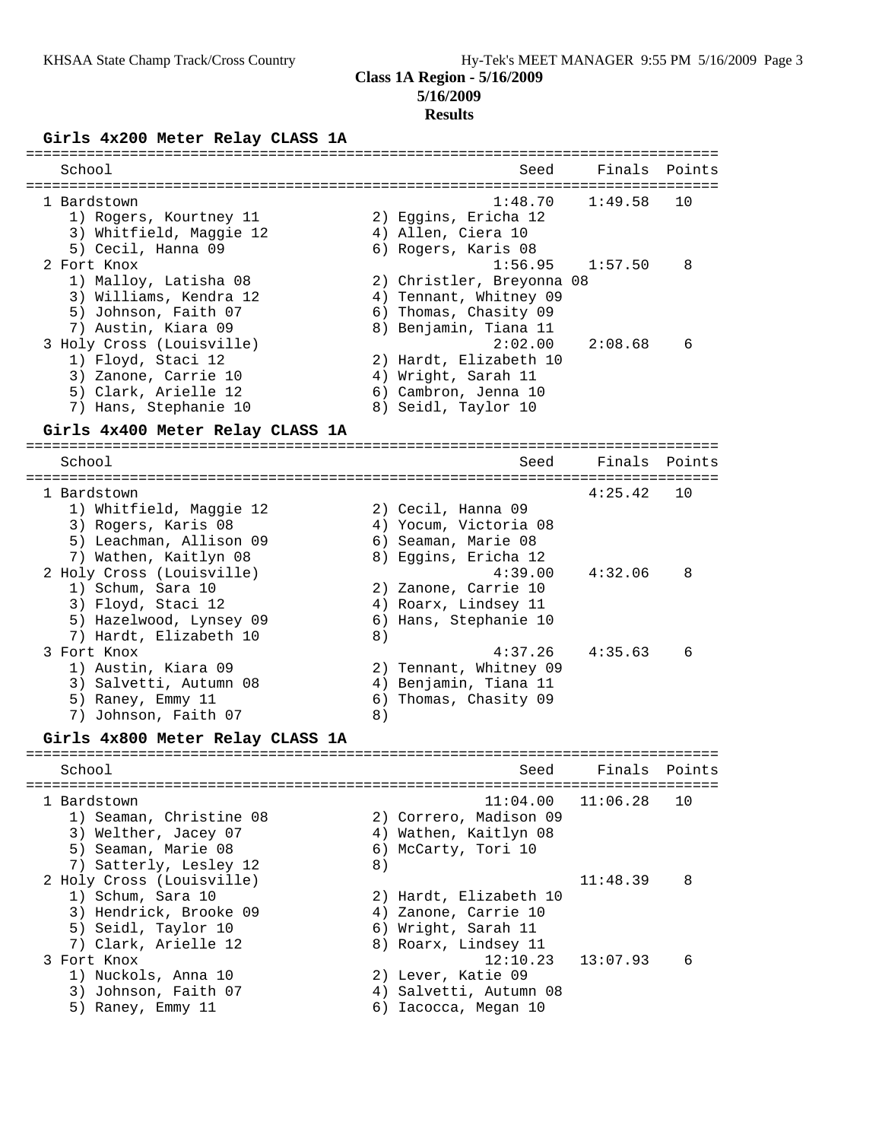### **Class 1A Region - 5/16/2009 5/16/2009**

## **Results**

# **Girls 4x200 Meter Relay CLASS 1A**

| School                                          |    | Seed                                         | Finals           | Points |
|-------------------------------------------------|----|----------------------------------------------|------------------|--------|
| 1 Bardstown                                     |    | 1:48.70                                      | -----<br>1:49.58 | 10     |
| 1) Rogers, Kourtney 11                          |    | 2) Eggins, Ericha 12                         |                  |        |
| 3) Whitfield, Maggie 12                         |    | 4) Allen, Ciera 10                           |                  |        |
| 5) Cecil, Hanna 09                              |    | 6) Rogers, Karis 08                          |                  |        |
| 2 Fort Knox                                     |    | 1:56.95                                      | 1:57.50          | 8      |
| 1) Malloy, Latisha 08                           |    | 2) Christler, Breyonna 08                    |                  |        |
| 3) Williams, Kendra 12                          |    | 4) Tennant, Whitney 09                       |                  |        |
| 5) Johnson, Faith 07                            |    | 6) Thomas, Chasity 09                        |                  |        |
| 7) Austin, Kiara 09                             |    | 8) Benjamin, Tiana 11<br>2:02.00             |                  |        |
| 3 Holy Cross (Louisville)<br>1) Floyd, Staci 12 |    | 2) Hardt, Elizabeth 10                       | 2:08.68          | 6      |
| 3) Zanone, Carrie 10                            |    | 4) Wright, Sarah 11                          |                  |        |
| 5) Clark, Arielle 12                            |    | 6) Cambron, Jenna 10                         |                  |        |
| 7) Hans, Stephanie 10                           |    | 8) Seidl, Taylor 10                          |                  |        |
| Girls 4x400 Meter Relay CLASS 1A                |    |                                              |                  |        |
|                                                 |    |                                              |                  |        |
| School<br>--------------                        |    | Seed                                         | Finals           | Points |
| 1 Bardstown                                     |    |                                              | 4:25.42          | 10     |
| 1) Whitfield, Maggie 12                         |    | 2) Cecil, Hanna 09                           |                  |        |
| 3) Rogers, Karis 08                             |    | 4) Yocum, Victoria 08                        |                  |        |
| 5) Leachman, Allison 09                         |    | 6) Seaman, Marie 08                          |                  |        |
| 7) Wathen, Kaitlyn 08                           |    | 8) Eggins, Ericha 12                         |                  |        |
| 2 Holy Cross (Louisville)                       |    | 4:39.00                                      | 4:32.06          | 8      |
| 1) Schum, Sara 10<br>3) Floyd, Staci 12         |    | 2) Zanone, Carrie 10<br>4) Roarx, Lindsey 11 |                  |        |
| 5) Hazelwood, Lynsey 09                         |    | 6) Hans, Stephanie 10                        |                  |        |
| 7) Hardt, Elizabeth 10                          | 8) |                                              |                  |        |
| 3 Fort Knox                                     |    | 4:37.26                                      | 4:35.63          | 6      |
| 1) Austin, Kiara 09                             |    | 2) Tennant, Whitney 09                       |                  |        |
| 3) Salvetti, Autumn 08                          |    | 4) Benjamin, Tiana 11                        |                  |        |
| 5) Raney, Emmy 11                               |    | 6) Thomas, Chasity 09                        |                  |        |
| 7) Johnson, Faith 07                            | 8) |                                              |                  |        |
| Girls 4x800 Meter Relay CLASS 1A                |    |                                              |                  |        |
| School                                          |    | Seed                                         | Finals           | Points |
|                                                 |    |                                              |                  |        |
| 1 Bardstown                                     |    | 11:04.00                                     | 11:06.28         | 10     |
| 1) Seaman, Christine 08                         |    | 2) Correro, Madison 09                       |                  |        |
| 3) Welther, Jacey 07<br>5) Seaman, Marie 08     |    | 4) Wathen, Kaitlyn 08                        |                  |        |
| 7) Satterly, Lesley 12                          | 8) | 6) McCarty, Tori 10                          |                  |        |
| 2 Holy Cross (Louisville)                       |    |                                              | 11:48.39         | 8      |
| 1) Schum, Sara 10                               |    | 2) Hardt, Elizabeth 10                       |                  |        |
| 3) Hendrick, Brooke 09                          |    | 4) Zanone, Carrie 10                         |                  |        |
| 5) Seidl, Taylor 10                             |    | 6) Wright, Sarah 11                          |                  |        |
| 7) Clark, Arielle 12                            |    | 8) Roarx, Lindsey 11                         |                  |        |
| 3 Fort Knox                                     |    | 12:10.23                                     | 13:07.93         | 6      |
| 1) Nuckols, Anna 10                             |    | 2) Lever, Katie 09                           |                  |        |
| 3) Johnson, Faith 07                            |    | 4) Salvetti, Autumn 08                       |                  |        |
| 5) Raney, Emmy 11                               |    | 6) Iacocca, Megan 10                         |                  |        |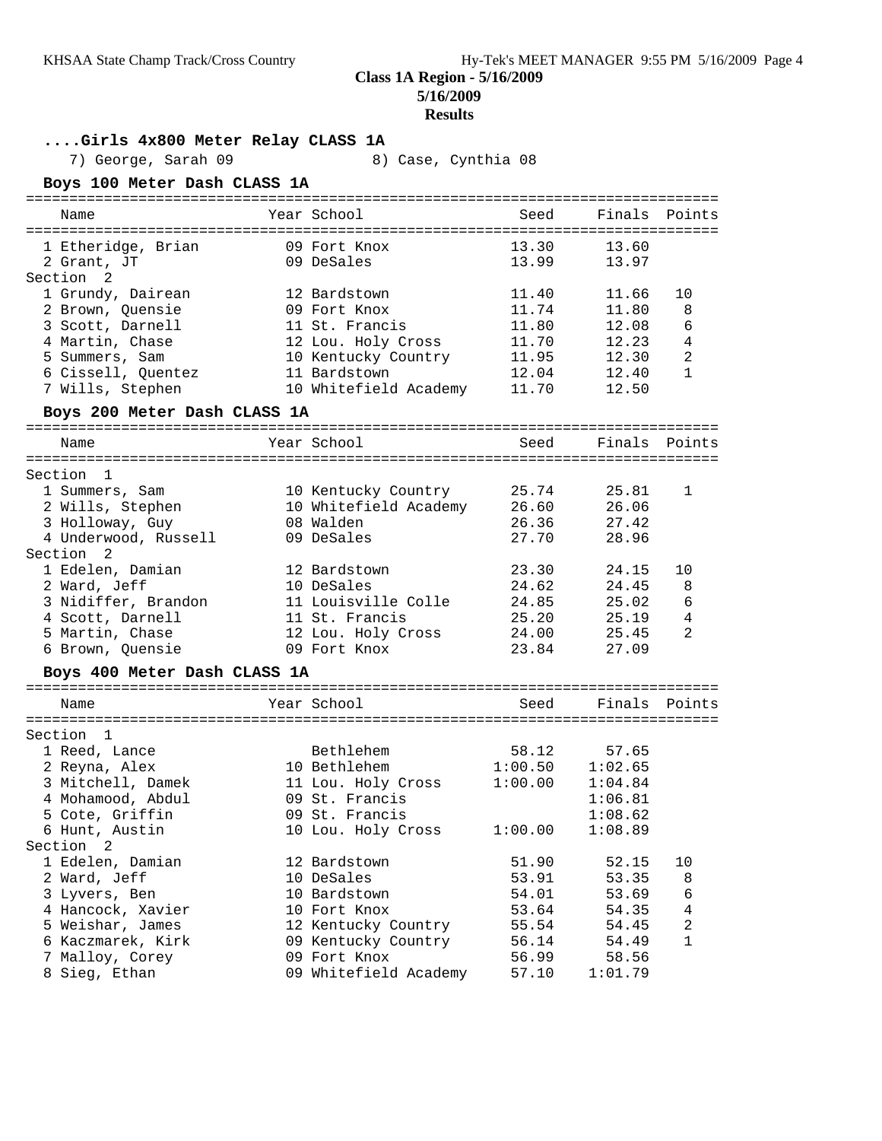**5/16/2009**

#### **Results**

### **....Girls 4x800 Meter Relay CLASS 1A**

7) George, Sarah 09 8) Case, Cynthia 08

## **Boys 100 Meter Dash CLASS 1A**

| Name                                  | Year School                         | Seed           | Finals         | Points                           |
|---------------------------------------|-------------------------------------|----------------|----------------|----------------------------------|
|                                       |                                     |                |                |                                  |
| 1 Etheridge, Brian                    | 09 Fort Knox                        | 13.30          | 13.60          |                                  |
| 2 Grant, JT                           | 09 DeSales                          | 13.99          | 13.97          |                                  |
| Section <sub>2</sub>                  |                                     |                |                |                                  |
| 1 Grundy, Dairean                     | 12 Bardstown                        | 11.40          | 11.66          | 10                               |
| 2 Brown, Quensie                      | 09 Fort Knox                        | 11.74          | 11.80          | 8                                |
| 3 Scott, Darnell                      | 11 St. Francis                      | 11.80          | 12.08          | 6                                |
| 4 Martin, Chase                       | 12 Lou. Holy Cross                  | 11.70          | 12.23          | $\overline{4}$                   |
| 5 Summers, Sam                        | 10 Kentucky Country                 | 11.95          | 12.30          | $\overline{a}$                   |
| 6 Cissell, Quentez                    | 11 Bardstown                        | 12.04          | 12.40          | $\mathbf{1}$                     |
| 7 Wills, Stephen                      | 10 Whitefield Academy               | 11.70          | 12.50          |                                  |
| Boys 200 Meter Dash CLASS 1A          |                                     |                |                |                                  |
| Name                                  | Year School                         | Seed           | Finals         | Points                           |
| Section 1                             |                                     |                |                |                                  |
| 1 Summers, Sam                        | 10 Kentucky Country                 | 25.74          | 25.81          | 1                                |
| 2 Wills, Stephen                      | 10 Whitefield Academy               | 26.60          | 26.06          |                                  |
| 3 Holloway, Guy                       | 08 Walden                           | 26.36          | 27.42          |                                  |
| 4 Underwood, Russell                  | 09 DeSales                          | 27.70          | 28.96          |                                  |
| Section <sub>2</sub>                  |                                     |                |                |                                  |
| 1 Edelen, Damian                      | 12 Bardstown                        | 23.30          | 24.15          | 10                               |
| 2 Ward, Jeff                          | 10 DeSales                          | 24.62          | 24.45          | 8                                |
| 3 Nidiffer, Brandon                   | 11 Louisville Colle                 | 24.85          | 25.02          | 6                                |
| 4 Scott, Darnell                      | 11 St. Francis                      | 25.20          | 25.19          | $\overline{4}$                   |
| 5 Martin, Chase                       | 12 Lou. Holy Cross                  | 24.00          | 25.45          | 2                                |
| 6 Brown, Quensie                      | 09 Fort Knox                        | 23.84          | 27.09          |                                  |
|                                       |                                     |                |                |                                  |
| Boys 400 Meter Dash CLASS 1A          |                                     |                |                |                                  |
| Name                                  | Year School                         | Seed           | Finals         | Points                           |
|                                       |                                     |                |                |                                  |
| Section 1                             |                                     |                |                |                                  |
| 1 Reed, Lance                         | Bethlehem                           | 58.12          | 57.65          |                                  |
| 2 Reyna, Alex                         | 10 Bethlehem                        | 1:00.50        | 1:02.65        |                                  |
| 3 Mitchell, Damek                     | 11 Lou. Holy Cross                  | 1:00.00        | 1:04.84        |                                  |
| 4 Mohamood, Abdul                     | 09 St. Francis                      |                | 1:06.81        |                                  |
| 5 Cote, Griffin                       | 09 St. Francis                      |                | 1:08.62        |                                  |
| 6 Hunt, Austin                        | 10 Lou. Holy Cross                  | 1:00.00        | 1:08.89        |                                  |
| Section<br>2                          |                                     |                |                |                                  |
| 1 Edelen, Damian                      | 12 Bardstown<br>10 DeSales          | 51.90          | 52.15          | 10                               |
| 2 Ward, Jeff                          |                                     | 53.91          | 53.35          | 8                                |
| 3 Lyvers, Ben                         | 10 Bardstown                        | 54.01          | 53.69<br>54.35 | 6                                |
| 4 Hancock, Xavier                     | 10 Fort Knox<br>12 Kentucky Country | 53.64<br>55.54 | 54.45          | $\overline{4}$<br>$\overline{c}$ |
| 5 Weishar, James<br>6 Kaczmarek, Kirk | 09 Kentucky Country                 | 56.14          | 54.49          | 1                                |
| 7 Malloy, Corey                       | 09 Fort Knox                        | 56.99          | 58.56          |                                  |
| 8 Sieg, Ethan                         | 09 Whitefield Academy               | 57.10          | 1:01.79        |                                  |
|                                       |                                     |                |                |                                  |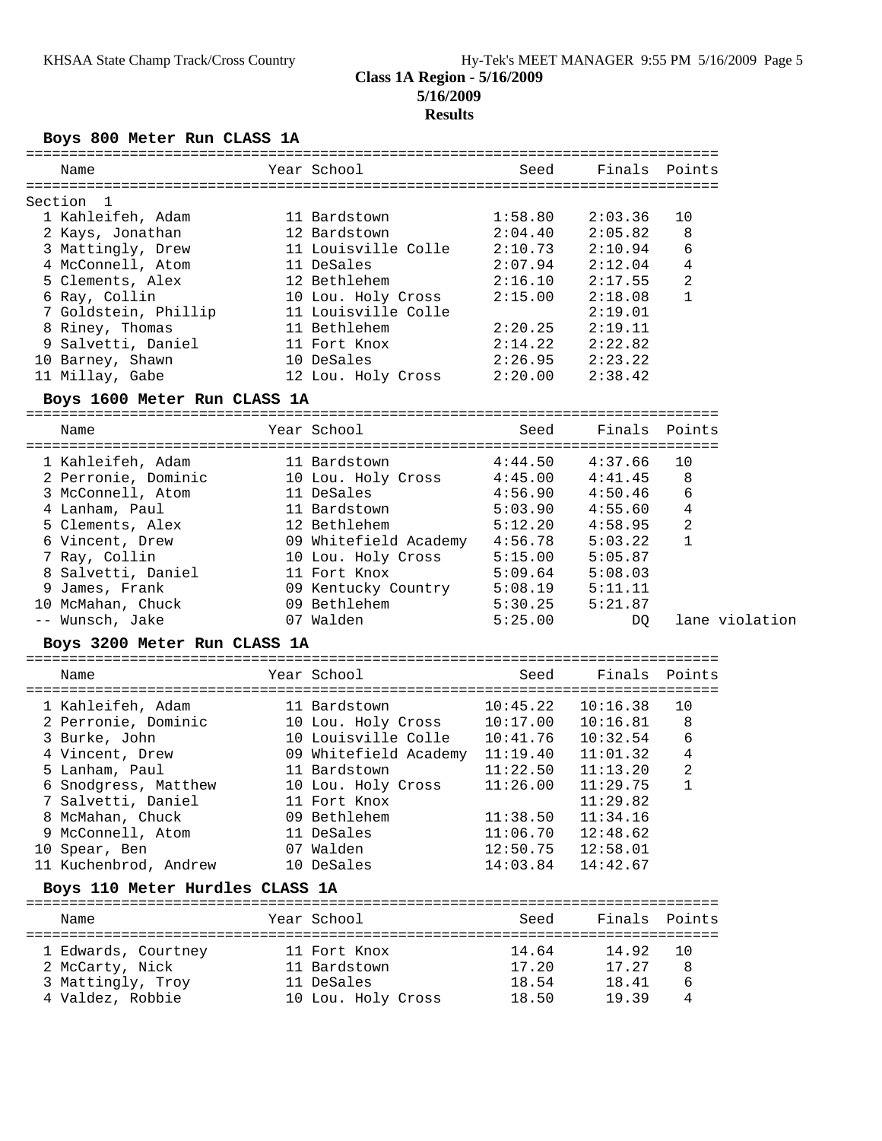#### **Class 1A Region - 5/16/2009 5/16/2009 Results**

**Boys 800 Meter Run CLASS 1A**

| Name                            | Year School                                                               | Seed     |                     | Finals Points  |
|---------------------------------|---------------------------------------------------------------------------|----------|---------------------|----------------|
| Section 1                       |                                                                           |          |                     |                |
| 1 Kahleifeh, Adam               | 11 Bardstown                                                              | 1:58.80  | 2:03.36             | 10             |
| 2 Kays, Jonathan                | 12 Bardstown                                                              | 2:04.40  | 2:05.82             | 8              |
| 3 Mattingly, Drew               | 11 Louisville Colle                                                       | 2:10.73  | 2:10.94             | 6              |
| 4 McConnell, Atom               | 11 DeSales                                                                | 2:07.94  | 2:12.04             | 4              |
| 5 Clements, Alex                | 12 Bethlehem                                                              | 2:16.10  | 2:17.55             | 2              |
|                                 |                                                                           |          |                     |                |
| 6 Ray, Collin                   | 10 Lou. Holy Cross<br>10 Lou. 1011<br>11 Louisville Colle<br>11 Bethlehem | 2:15.00  | 2:18.08             | 1              |
| 7 Goldstein, Phillip            |                                                                           |          | 2:19.01             |                |
| 8 Riney, Thomas                 |                                                                           | 2:20.25  | 2:19.11             |                |
| 9 Salvetti, Daniel              | 11 Fort Knox                                                              | 2:14.22  | 2:22.82             |                |
| 10 Barney, Shawn                | 10 DeSales                                                                | 2:26.95  | 2:23.22             |                |
| 11 Millay, Gabe                 | 12 Lou. Holy Cross                                                        | 2:20.00  | 2:38.42             |                |
| Boys 1600 Meter Run CLASS 1A    |                                                                           |          |                     |                |
| Name                            | Year School                                                               | Seed     |                     | Finals Points  |
|                                 |                                                                           |          |                     |                |
| 1 Kahleifeh, Adam               | 11 Bardstown                                                              | 4:44.50  | 4:37.66             | 10             |
| 2 Perronie, Dominic             | 10 Lou. Holy Cross 4:45.00                                                |          | 4:41.45             | 8              |
| 3 McConnell, Atom               | 11 DeSales                                                                | 4:56.90  | 4:50.46             | 6              |
|                                 | 11 Bardstown                                                              | 5:03.90  | 4:55.60             | 4              |
| 4 Lanham, Paul                  |                                                                           |          | $5:12.20$ $4:58.95$ |                |
| 5 Clements, Alex                | 12 Bethlehem                                                              |          |                     | $\overline{c}$ |
| 6 Vincent, Drew                 | 09 Whitefield Academy 4:56.78                                             |          | 5:03.22             | $\mathbf{1}$   |
| 7 Ray, Collin                   | 10 Lou. Holy Cross 5:15.00 5:05.87                                        |          |                     |                |
| 8 Salvetti, Daniel              | 11 Fort Knox                                                              | 5:09.64  | 5:08.03             |                |
| 9 James, Frank                  | 09 Kentucky Country<br>09 Bethlehem                                       | 5:08.19  | 5:11.11             |                |
| 10 McMahan, Chuck               | 09 Bethlehem                                                              | 5:30.25  | 5:21.87             |                |
| -- Wunsch, Jake                 | 07 Walden                                                                 | 5:25.00  | DQ                  | lane violation |
| Boys 3200 Meter Run CLASS 1A    |                                                                           |          |                     |                |
| Name                            | Year School                                                               | Seed     | Finals Points       |                |
|                                 |                                                                           |          |                     |                |
| 1 Kahleifeh, Adam               | 11 Bardstown                                                              | 10:45.22 | 10:16.38            | 10             |
| 2 Perronie, Dominic             | 10 Lou. Holy Cross 10:17.00                                               |          | 10:16.81            | 8              |
| 3 Burke, John                   | 10 Louisville Colle 10:41.76                                              |          | 10:32.54            | 6              |
| 4 Vincent, Drew                 | 09 Whitefield Academy 11:19.40                                            |          | 11:01.32            | $\overline{4}$ |
| 5 Lanham, Paul                  | 11 Bardstown                                                              | 11:22.50 | 11:13.20            | $\sqrt{2}$     |
| 6 Snodgress, Matthew            | 10 Lou. Holy Cross                                                        | 11:26.00 | 11:29.75            | $\mathbf 1$    |
| 7 Salvetti, Daniel              | 11 Fort Knox                                                              |          | 11:29.82            |                |
| 8 McMahan, Chuck                | 09 Bethlehem                                                              | 11:38.50 | 11:34.16            |                |
| 9 McConnell, Atom               | 11 DeSales                                                                | 11:06.70 | 12:48.62            |                |
| 10 Spear, Ben                   | 07 Walden                                                                 | 12:50.75 | 12:58.01            |                |
| 11 Kuchenbrod, Andrew           | 10 DeSales                                                                | 14:03.84 | 14:42.67            |                |
| Boys 110 Meter Hurdles CLASS 1A |                                                                           |          |                     |                |
| Name                            | Year School                                                               | Seed     | Finals              | Points         |
|                                 |                                                                           |          |                     | =============  |
| 1 Edwards, Courtney             | 11 Fort Knox                                                              | 14.64    | 14.92               | 10             |
| 2 McCarty, Nick                 | 11 Bardstown                                                              | 17.20    | 17.27               | 8              |
| 3 Mattingly, Troy               | 11 DeSales                                                                | 18.54    | 18.41               | 6              |
| 4 Valdez, Robbie                | 10 Lou. Holy Cross                                                        | 18.50    | 19.39               | 4              |
|                                 |                                                                           |          |                     |                |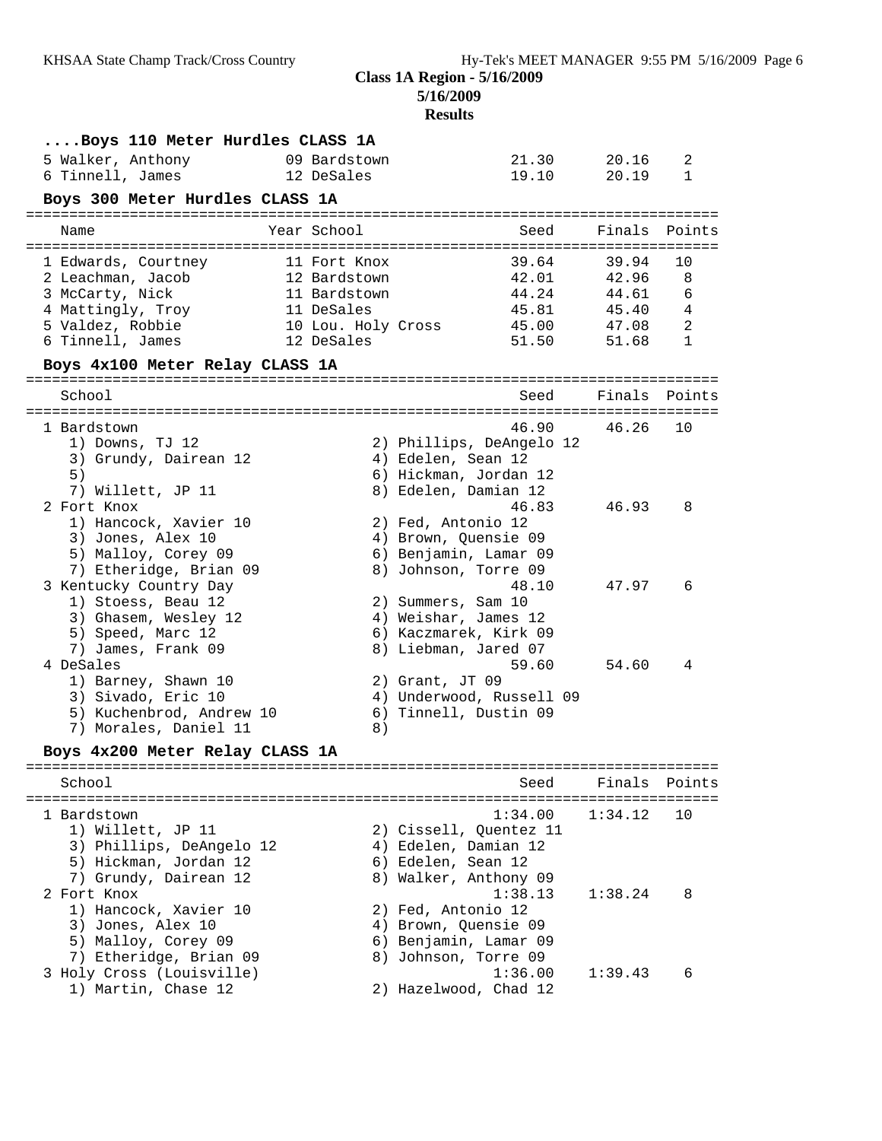**5/16/2009**

# **Results**

| Boys 110 Meter Hurdles CLASS 1A                |                                  |                                                   |               |                   |
|------------------------------------------------|----------------------------------|---------------------------------------------------|---------------|-------------------|
| 5 Walker, Anthony                              | 09 Bardstown                     | 21.30                                             | 20.16         | 2                 |
| 6 Tinnell, James                               | 12 DeSales                       | 19.10                                             | 20.19         | 1                 |
| Boys 300 Meter Hurdles CLASS 1A                |                                  |                                                   |               |                   |
|                                                |                                  |                                                   |               |                   |
| Name                                           | Year School                      | Seed                                              | Finals        | Points            |
| 1 Edwards, Courtney                            | 11 Fort Knox                     | 39.64                                             | 39.94         | 10                |
| 2 Leachman, Jacob                              | 12 Bardstown                     | 42.01                                             | 42.96         | 8                 |
| 3 McCarty, Nick                                | 11 Bardstown                     | 44.24                                             | 44.61         | 6                 |
| 4 Mattingly, Troy                              | 11 DeSales                       | 45.81                                             | 45.40         | 4                 |
| 5 Valdez, Robbie                               | 10 Lou. Holy Cross<br>12 DeSales | 45.00<br>51.50                                    | 47.08         | 2<br>$\mathbf{1}$ |
| 6 Tinnell, James                               |                                  |                                                   | 51.68         |                   |
| Boys 4x100 Meter Relay CLASS 1A                |                                  |                                                   |               |                   |
| School                                         |                                  | Seed                                              | Finals Points |                   |
| 1 Bardstown                                    |                                  | 46.90                                             | 46.26         | 10                |
| 1) Downs, TJ 12                                |                                  | 2) Phillips, DeAngelo 12                          |               |                   |
| 3) Grundy, Dairean 12                          |                                  | 4) Edelen, Sean 12                                |               |                   |
| 5)                                             |                                  | 6) Hickman, Jordan 12                             |               |                   |
| 7) Willett, JP 11                              |                                  | 8) Edelen, Damian 12                              |               |                   |
| 2 Fort Knox                                    |                                  | 46.83                                             | 46.93         | 8                 |
| 1) Hancock, Xavier 10                          |                                  | 2) Fed, Antonio 12                                |               |                   |
| 3) Jones, Alex 10<br>5) Malloy, Corey 09       |                                  | 4) Brown, Quensie 09<br>6) Benjamin, Lamar 09     |               |                   |
| 7) Etheridge, Brian 09                         |                                  | 8) Johnson, Torre 09                              |               |                   |
| 3 Kentucky Country Day                         |                                  | 48.10                                             | 47.97         | 6                 |
| 1) Stoess, Beau 12                             |                                  | 2) Summers, Sam 10                                |               |                   |
| 3) Ghasem, Wesley 12                           |                                  | 4) Weishar, James 12                              |               |                   |
| 5) Speed, Marc 12                              |                                  | 6) Kaczmarek, Kirk 09                             |               |                   |
| 7) James, Frank 09                             |                                  | 8) Liebman, Jared 07                              |               |                   |
| 4 DeSales                                      |                                  | 59.60                                             | 54.60         | 4                 |
| 1) Barney, Shawn 10                            |                                  | $2)$ Grant, JT 09                                 |               |                   |
| 3) Sivado, Eric 10<br>5) Kuchenbrod, Andrew 10 |                                  | 4) Underwood, Russell 09<br>6) Tinnell, Dustin 09 |               |                   |
| 7) Morales, Daniel 11                          | 8)                               |                                                   |               |                   |
|                                                |                                  |                                                   |               |                   |
| Boys 4x200 Meter Relay CLASS 1A                |                                  |                                                   |               |                   |
| School                                         |                                  | Seed                                              | Finals        | Points            |
| 1 Bardstown                                    |                                  | 1:34.00                                           | 1:34.12       | 10                |
| 1) Willett, JP 11                              |                                  | 2) Cissell, Quentez 11                            |               |                   |
| 3) Phillips, DeAngelo 12                       |                                  | 4) Edelen, Damian 12                              |               |                   |
| 5) Hickman, Jordan 12                          |                                  | 6) Edelen, Sean 12                                |               |                   |
| 7) Grundy, Dairean 12                          |                                  | 8) Walker, Anthony 09                             |               |                   |
| 2 Fort Knox                                    |                                  | 1:38.13                                           | 1:38.24       | 8                 |
| 1) Hancock, Xavier 10                          |                                  | 2) Fed, Antonio 12                                |               |                   |
| 3) Jones, Alex 10<br>5) Malloy, Corey 09       |                                  | 4) Brown, Quensie 09<br>6) Benjamin, Lamar 09     |               |                   |
| 7) Etheridge, Brian 09                         |                                  | 8) Johnson, Torre 09                              |               |                   |
| 3 Holy Cross (Louisville)                      |                                  | 1:36.00                                           | 1:39.43       | 6                 |
| 1) Martin, Chase 12                            |                                  | 2) Hazelwood, Chad 12                             |               |                   |
|                                                |                                  |                                                   |               |                   |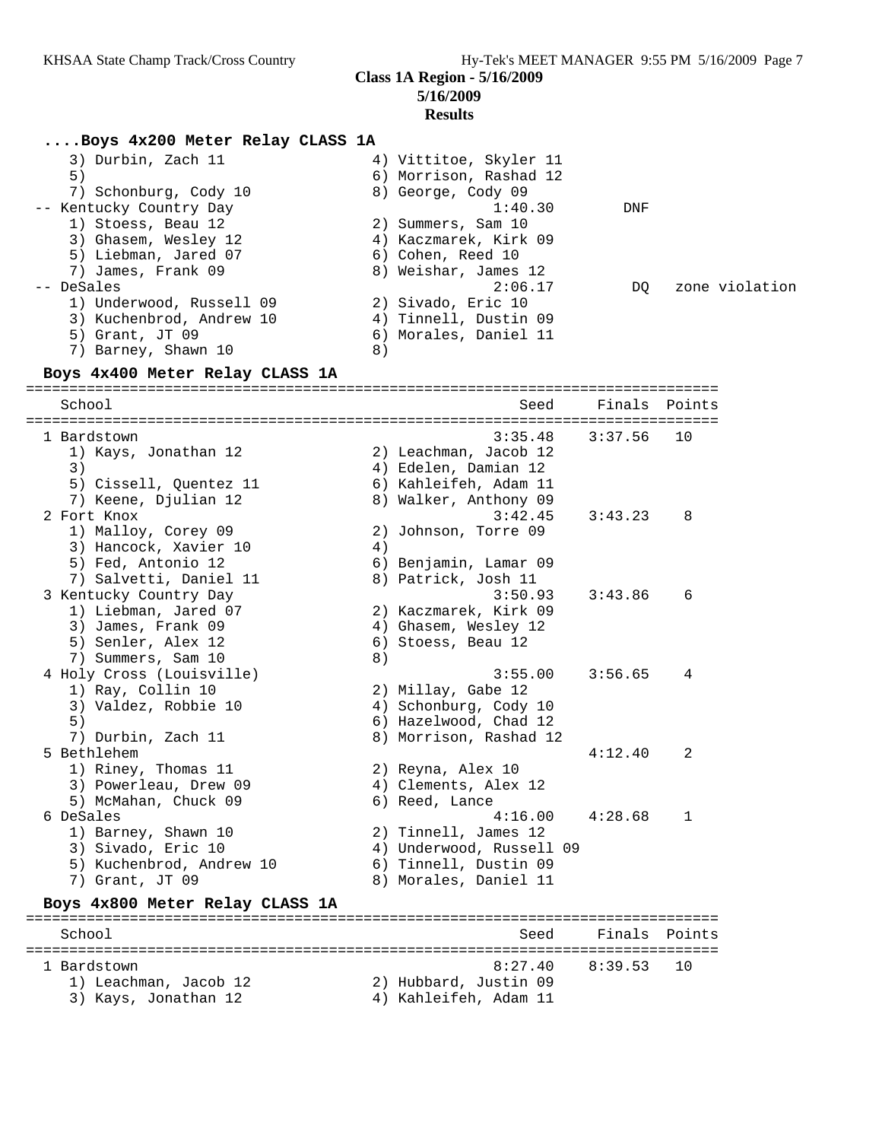**5/16/2009**

#### **Results**

#### **....Boys 4x200 Meter Relay CLASS 1A**

| 3) Durbin, Zach 11       | 4) Vittitoe, Skyler 11 |     |                |
|--------------------------|------------------------|-----|----------------|
| 5)                       | 6) Morrison, Rashad 12 |     |                |
| 7) Schonburg, Cody 10    | 8) George, Cody 09     |     |                |
| -- Kentucky Country Day  | 1:40.30                | DNF |                |
| 1) Stoess, Beau 12       | 2) Summers, Sam 10     |     |                |
| 3) Ghasem, Wesley 12     | 4) Kaczmarek, Kirk 09  |     |                |
| 5) Liebman, Jared 07     | 6) Cohen, Reed 10      |     |                |
| 7) James, Frank 09       | 8) Weishar, James 12   |     |                |
| -- DeSales               | 2:06.17                | DO  | zone violation |
| 1) Underwood, Russell 09 | 2) Sivado, Eric 10     |     |                |
| 3) Kuchenbrod, Andrew 10 | 4) Tinnell, Dustin 09  |     |                |
| $5)$ Grant, JT 09        | 6) Morales, Daniel 11  |     |                |
| 7) Barney, Shawn 10      | 8                      |     |                |

#### **Boys 4x400 Meter Relay CLASS 1A**

================================================================================ School Seed Finals Points ================================================================================ 1 Bardstown 3:35.48 3:37.56 10 1) Kays, Jonathan  $12$  3) 4) Edelen, Damian 12 5) Cissell, Quentez 11 6) Kahleifeh, Adam 11 7) Keene, Djulian 12 8) Walker, Anthony 09 2 Fort Knox 3:42.45 3:43.23 8 1) Malloy, Corey 09 2) Johnson, Torre 09 3) Hancock, Xavier 10 (4) 5) Fed, Antonio 12 6) Benjamin, Lamar 09 7) Salvetti, Daniel 11 8) Patrick, Josh 11 3 Kentucky Country Day 3:50.93 3:43.86 6 1) Liebman, Jared 07 2) Kaczmarek, Kirk 09 3) James, Frank 09 4) Ghasem, Wesley 12 5) Senler, Alex 12 (6) Stoess, Beau 12 7) Summers, Sam 10 (8) 1 12<br>
4 Holy Cross (Louisville)<br>
3:55.00 3:56.65 4 1) Ray, Collin 10 2) Millay, Gabe 12 3) Valdez, Robbie 10 4) Schonburg, Cody 10 5) 6) Hazelwood, Chad 12 7) Durbin, Zach 11 8) Morrison, Rashad 12 5 Bethlehem 4:12.40 2 1) Riney, Thomas 11 2) Reyna, Alex 10 3) Powerleau, Drew 09 4) Clements, Alex 12 5) McMahan, Chuck 09 (6) Reed, Lance 6 DeSales 4:16.00 4:28.68 1 1) Barney, Shawn 10 2) Tinnell, James 12 3) Sivado, Eric 10 4) Underwood, Russell 09 5) Kuchenbrod, Andrew 10 6) Tinnell, Dustin 09 7) Grant, JT 09 8) Morales, Daniel 11 **Boys 4x800 Meter Relay CLASS 1A** ================================================================================ School Seed Finals Points ================================================================================ 1 Bardstown 8:27.40 8:39.53 10 1) Leachman, Jacob 12 2) Hubbard, Justin 09 3) Kays, Jonathan 12 4) Kahleifeh, Adam 11